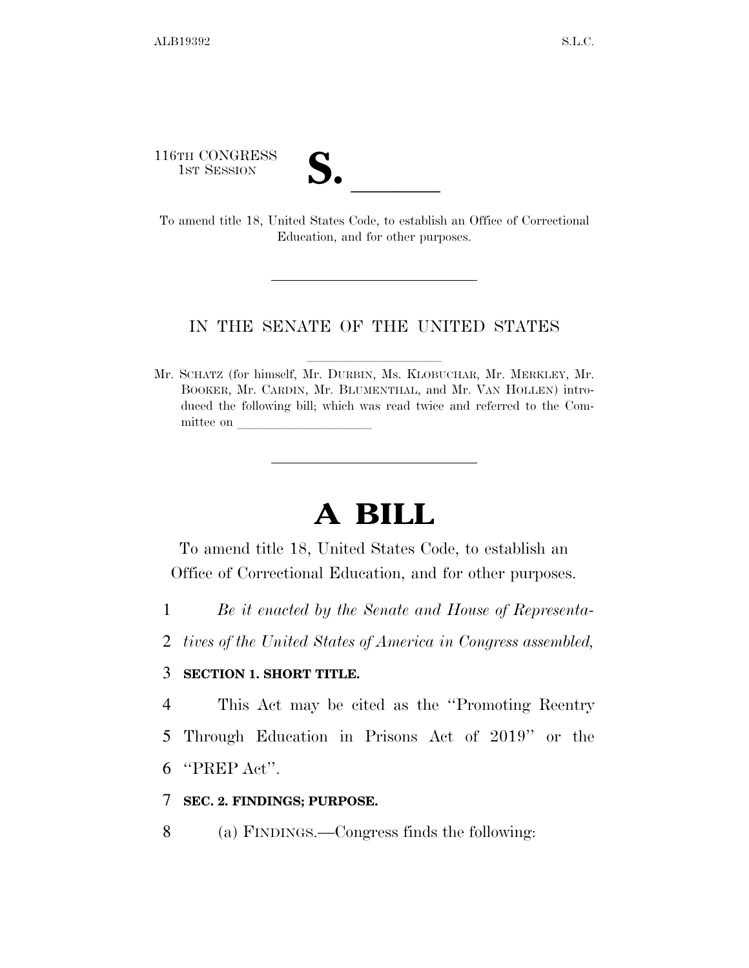116TH CONGRESS

16TH CONGRESS<br>
1ST SESSION<br>
To amend title 18, United States Code, to establish an Office of Correctional

Education, and for other purposes.

### IN THE SENATE OF THE UNITED STATES

Mr. SCHATZ (for himself, Mr. DURBIN, Ms. KLOBUCHAR, Mr. MERKLEY, Mr. BOOKER, Mr. CARDIN, Mr. BLUMENTHAL, and Mr. VAN HOLLEN) introduced the following bill; which was read twice and referred to the Committee on

# **A BILL**

To amend title 18, United States Code, to establish an Office of Correctional Education, and for other purposes.

- 1 *Be it enacted by the Senate and House of Representa-*
- 2 *tives of the United States of America in Congress assembled,*

### 3 **SECTION 1. SHORT TITLE.**

4 This Act may be cited as the ''Promoting Reentry

5 Through Education in Prisons Act of 2019'' or the 6 ''PREP Act''.

### 7 **SEC. 2. FINDINGS; PURPOSE.**

8 (a) FINDINGS.—Congress finds the following: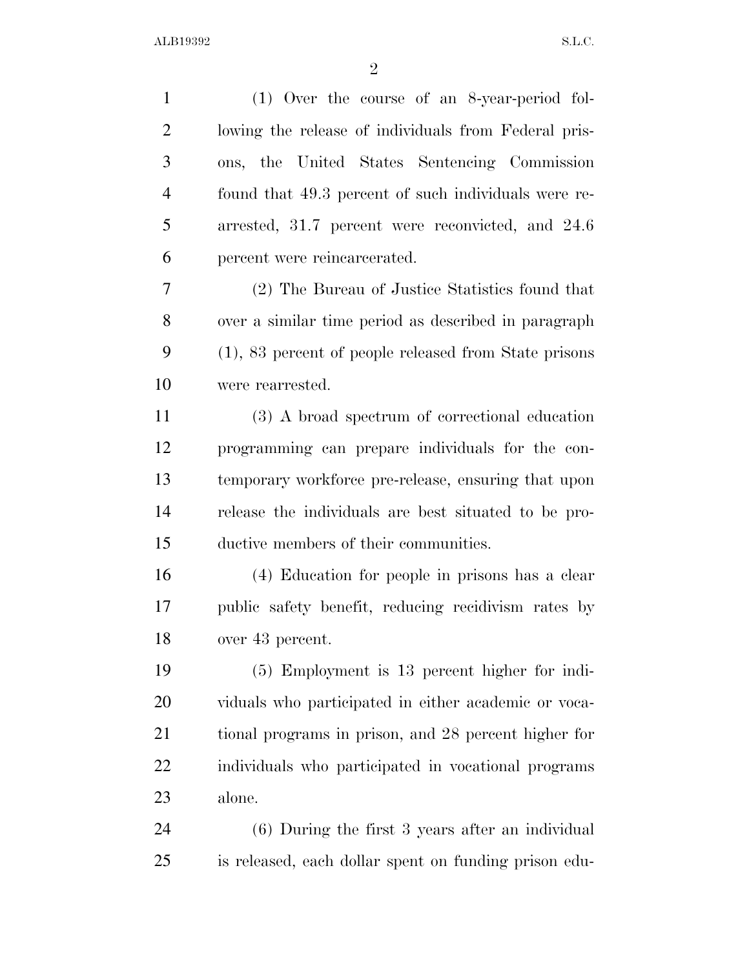(1) Over the course of an 8-year-period fol- lowing the release of individuals from Federal pris- ons, the United States Sentencing Commission found that 49.3 percent of such individuals were re- arrested, 31.7 percent were reconvicted, and 24.6 percent were reincarcerated. (2) The Bureau of Justice Statistics found that over a similar time period as described in paragraph (1), 83 percent of people released from State prisons were rearrested. (3) A broad spectrum of correctional education programming can prepare individuals for the con- temporary workforce pre-release, ensuring that upon release the individuals are best situated to be pro- ductive members of their communities. (4) Education for people in prisons has a clear public safety benefit, reducing recidivism rates by over 43 percent. (5) Employment is 13 percent higher for indi- viduals who participated in either academic or voca- tional programs in prison, and 28 percent higher for individuals who participated in vocational programs alone. (6) During the first 3 years after an individual is released, each dollar spent on funding prison edu-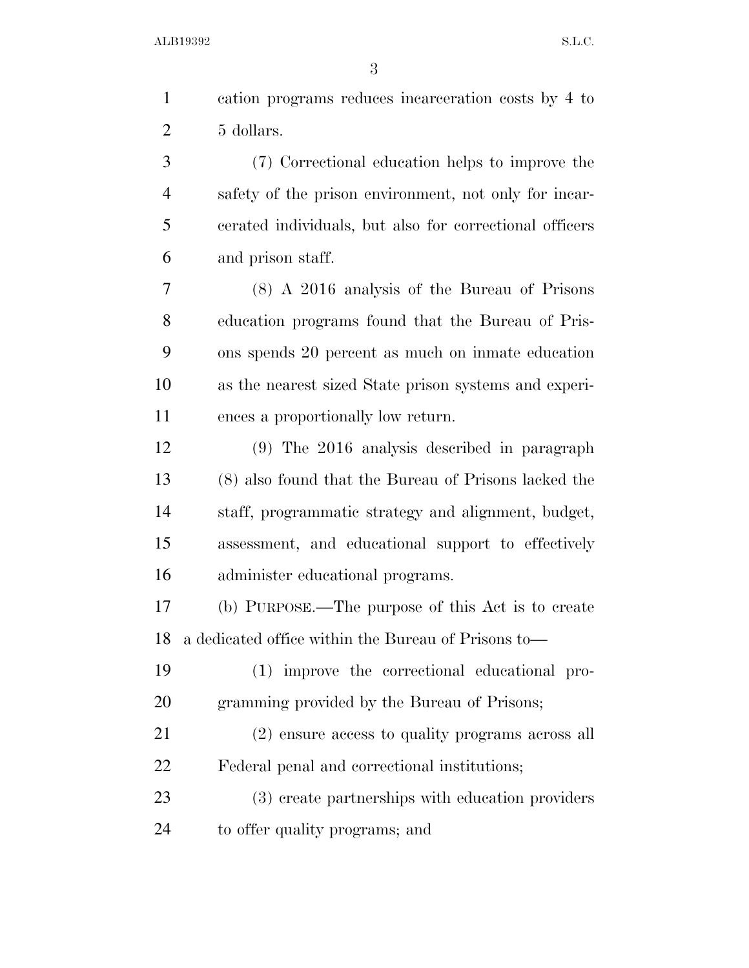| $\mathbf{1}$   | cation programs reduces incarceration costs by 4 to     |
|----------------|---------------------------------------------------------|
| $\overline{2}$ | 5 dollars.                                              |
| 3              | (7) Correctional education helps to improve the         |
| $\overline{4}$ | safety of the prison environment, not only for incar-   |
| 5              | cerated individuals, but also for correctional officers |
| 6              | and prison staff.                                       |
| 7              | $(8)$ A 2016 analysis of the Bureau of Prisons          |
| 8              | education programs found that the Bureau of Pris-       |
| 9              | ons spends 20 percent as much on inmate education       |
| 10             | as the nearest sized State prison systems and experi-   |
| 11             | ences a proportionally low return.                      |
| 12             | $(9)$ The 2016 analysis described in paragraph          |
| 13             | (8) also found that the Bureau of Prisons lacked the    |
| 14             | staff, programmatic strategy and alignment, budget,     |
| 15             | assessment, and educational support to effectively      |
| 16             | administer educational programs.                        |
| 17             | (b) PURPOSE.—The purpose of this Act is to create       |
| 18             | a dedicated office within the Bureau of Prisons to-     |
| 19             | (1) improve the correctional educational pro-           |
| 20             | gramming provided by the Bureau of Prisons;             |
| 21             | (2) ensure access to quality programs across all        |
| 22             | Federal penal and correctional institutions;            |
| 23             | (3) create partnerships with education providers        |
| 24             | to offer quality programs; and                          |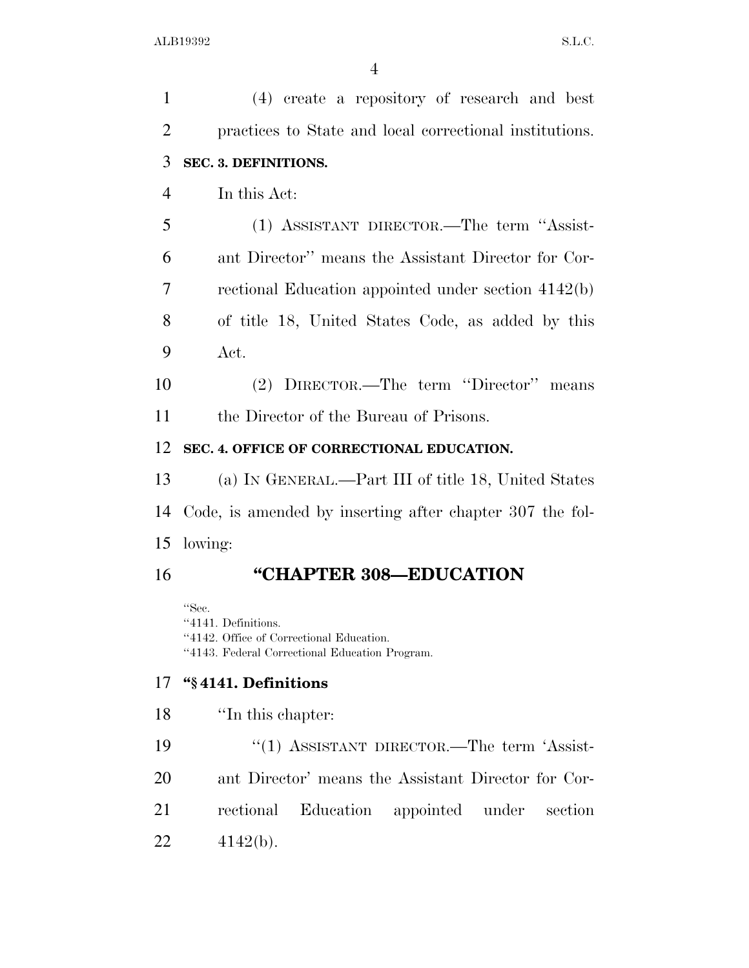| $\mathbf{1}$   | (4) create a repository of research and best                                                                               |
|----------------|----------------------------------------------------------------------------------------------------------------------------|
| $\overline{2}$ | practices to State and local correctional institutions.                                                                    |
| 3              | <b>SEC. 3. DEFINITIONS.</b>                                                                                                |
| $\overline{4}$ | In this Act:                                                                                                               |
| 5              | (1) ASSISTANT DIRECTOR.—The term "Assist-                                                                                  |
| 6              | ant Director" means the Assistant Director for Cor-                                                                        |
| 7              | rectional Education appointed under section 4142(b)                                                                        |
| 8              | of title 18, United States Code, as added by this                                                                          |
| 9              | Act.                                                                                                                       |
| 10             | (2) DIRECTOR.—The term "Director" means                                                                                    |
| 11             | the Director of the Bureau of Prisons.                                                                                     |
| 12             | SEC. 4. OFFICE OF CORRECTIONAL EDUCATION.                                                                                  |
| 13             | (a) IN GENERAL.—Part III of title 18, United States                                                                        |
| 14             | Code, is amended by inserting after chapter 307 the fol-                                                                   |
| 15             | lowing:                                                                                                                    |
| 16             | "CHAPTER 308-EDUCATION                                                                                                     |
|                | "Sec.<br>"4141. Definitions.<br>"4142. Office of Correctional Education.<br>"4143. Federal Correctional Education Program. |

### **''§ 4141. Definitions**

''In this chapter:

19 ''(1) ASSISTANT DIRECTOR.—The term 'Assist- ant Director' means the Assistant Director for Cor- rectional Education appointed under section 4142(b).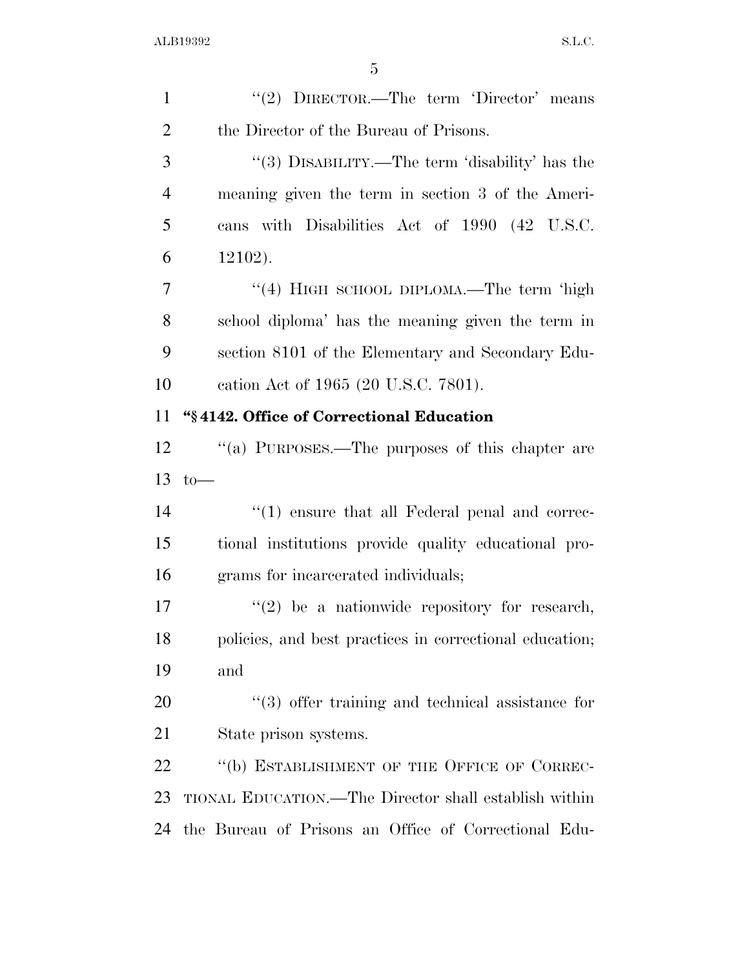| $\mathbf{1}$   | "(2) DIRECTOR.—The term 'Director' means                |
|----------------|---------------------------------------------------------|
| $\overline{2}$ | the Director of the Bureau of Prisons.                  |
| 3              | "(3) DISABILITY.—The term 'disability' has the          |
| $\overline{4}$ | meaning given the term in section 3 of the Ameri-       |
| 5              | cans with Disabilities Act of 1990 (42 U.S.C.           |
| 6              | 12102).                                                 |
| 7              | "(4) HIGH SCHOOL DIPLOMA.—The term 'high                |
| 8              | school diploma' has the meaning given the term in       |
| 9              | section 8101 of the Elementary and Secondary Edu-       |
| 10             | cation Act of 1965 (20 U.S.C. 7801).                    |
| 11             | "§4142. Office of Correctional Education                |
| 12             | "(a) PURPOSES.—The purposes of this chapter are         |
|                |                                                         |
|                | $to-$                                                   |
| 13<br>14       | $\lq(1)$ ensure that all Federal penal and correc-      |
|                | tional institutions provide quality educational pro-    |
| 15<br>16       | grams for incarcerated individuals;                     |
|                | $\lq(2)$ be a nationwide repository for research,       |
|                | policies, and best practices in correctional education; |
| 17<br>18<br>19 | and                                                     |
| 20             | $(3)$ offer training and technical assistance for       |
| 21             | State prison systems.                                   |
| 22             | "(b) ESTABLISHMENT OF THE OFFICE OF CORREC-             |
| 23             | TIONAL EDUCATION.—The Director shall establish within   |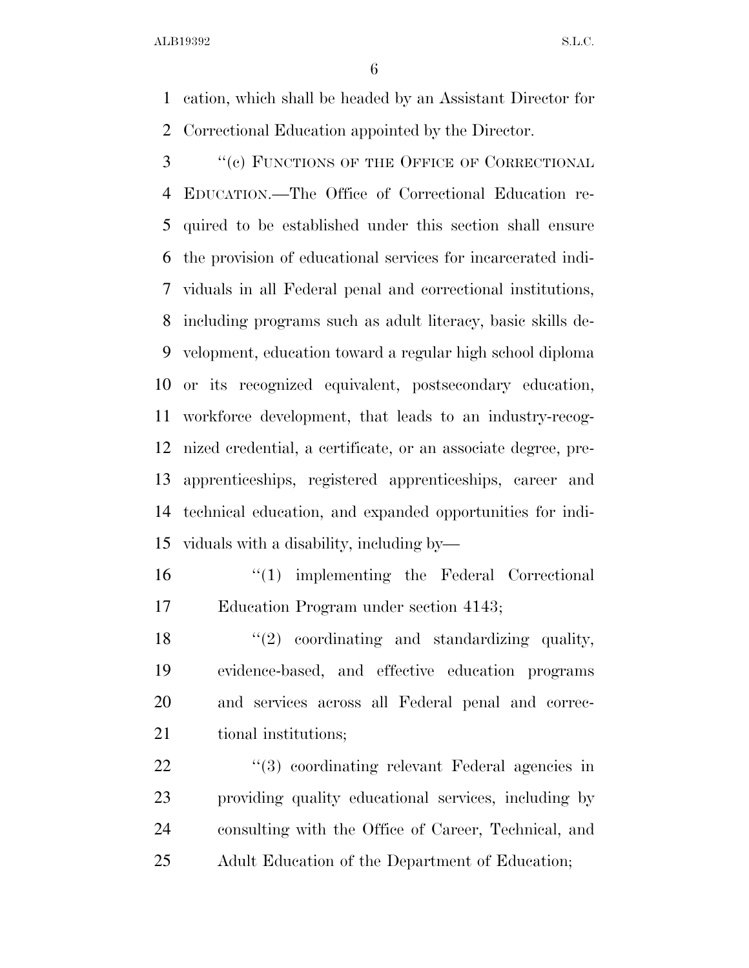cation, which shall be headed by an Assistant Director for Correctional Education appointed by the Director.

3 "(c) FUNCTIONS OF THE OFFICE OF CORRECTIONAL EDUCATION.—The Office of Correctional Education re- quired to be established under this section shall ensure the provision of educational services for incarcerated indi- viduals in all Federal penal and correctional institutions, including programs such as adult literacy, basic skills de- velopment, education toward a regular high school diploma or its recognized equivalent, postsecondary education, workforce development, that leads to an industry-recog- nized credential, a certificate, or an associate degree, pre- apprenticeships, registered apprenticeships, career and technical education, and expanded opportunities for indi-viduals with a disability, including by—

16 ''(1) implementing the Federal Correctional Education Program under section 4143;

 $\frac{1}{2}$  coordinating and standardizing quality, evidence-based, and effective education programs and services across all Federal penal and correc-21 tional institutions;

22 ''(3) coordinating relevant Federal agencies in providing quality educational services, including by consulting with the Office of Career, Technical, and Adult Education of the Department of Education;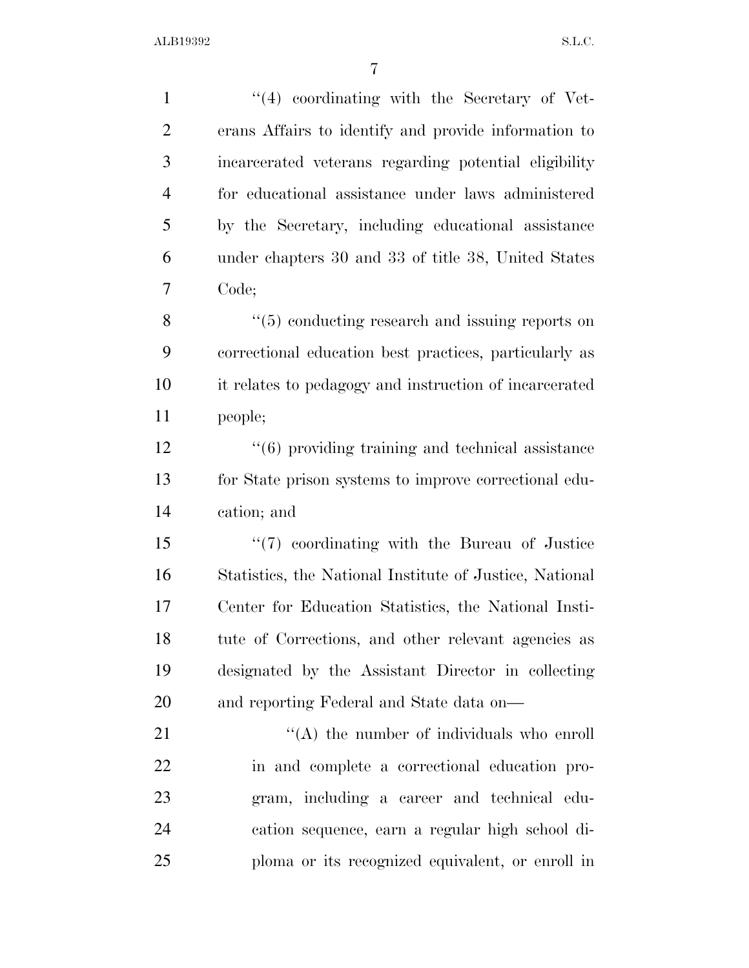| $\mathbf{1}$   | $\lq(4)$ coordinating with the Secretary of Vet-                 |
|----------------|------------------------------------------------------------------|
| $\overline{2}$ | erans Affairs to identify and provide information to             |
| 3              | incarcerated veterans regarding potential eligibility            |
| $\overline{4}$ | for educational assistance under laws administered               |
| 5              | by the Secretary, including educational assistance               |
| 6              | under chapters 30 and 33 of title 38, United States              |
| 7              | Code;                                                            |
| 8              | $\lq(5)$ conducting research and issuing reports on              |
| 9              | correctional education best practices, particularly as           |
| 10             | it relates to pedagogy and instruction of incarcerated           |
| 11             | people;                                                          |
| 12             | $\cdot\cdot\cdot(6)$ providing training and technical assistance |
| 13             | for State prison systems to improve correctional edu-            |
| 14             | cation; and                                                      |
| 15             | $\lq(7)$ coordinating with the Bureau of Justice                 |
| 16             | Statistics, the National Institute of Justice, National          |
| 17             | Center for Education Statistics, the National Insti-             |
| 18             | tute of Corrections, and other relevant agencies as              |
| 19             | designated by the Assistant Director in collecting               |
| 20             | and reporting Federal and State data on—                         |
| 21             | $\lq\lq$ the number of individuals who enroll                    |
| 22             | in and complete a correctional education pro-                    |
| 23             | gram, including a career and technical edu-                      |
| 24             | cation sequence, earn a regular high school di-                  |
| 25             | ploma or its recognized equivalent, or enroll in                 |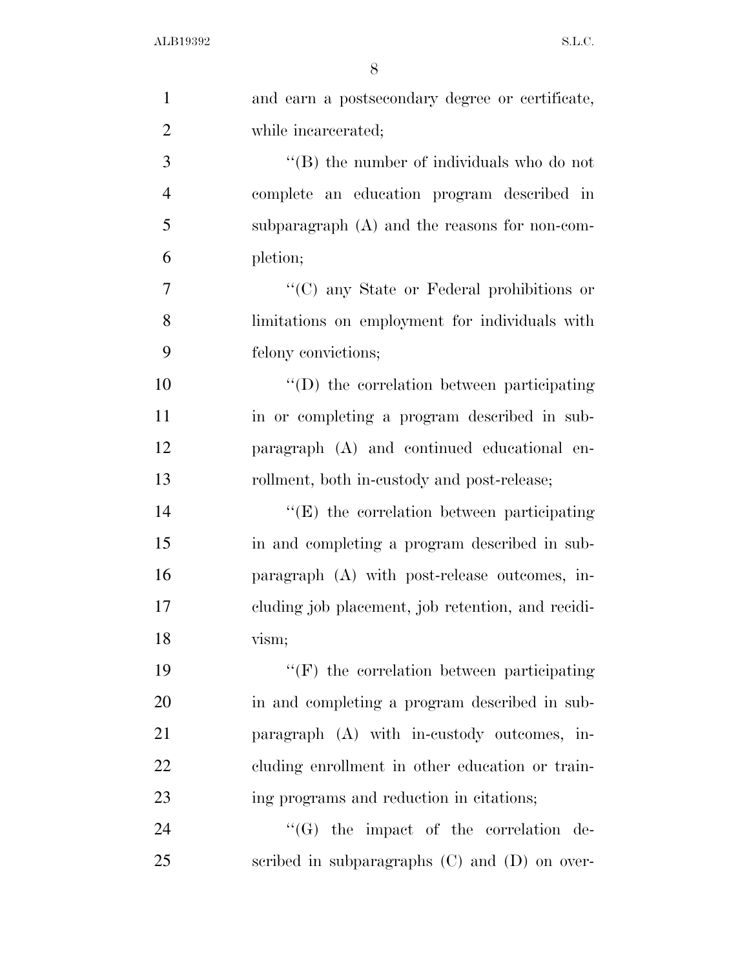| $\mathbf{1}$   | and earn a postsecondary degree or certificate,   |
|----------------|---------------------------------------------------|
| $\overline{2}$ | while incarcerated;                               |
| 3              | "(B) the number of individuals who do not         |
| $\overline{4}$ | complete an education program described in        |
| 5              | subparagraph $(A)$ and the reasons for non-com-   |
| 6              | pletion;                                          |
| $\overline{7}$ | "(C) any State or Federal prohibitions or         |
| 8              | limitations on employment for individuals with    |
| 9              | felony convictions;                               |
| 10             | "(D) the correlation between participating        |
| 11             | in or completing a program described in sub-      |
| 12             | paragraph (A) and continued educational en-       |
| 13             | rollment, both in-custody and post-release;       |
| 14             | $\lq\lq(E)$ the correlation between participating |
| 15             | in and completing a program described in sub-     |
| 16             | paragraph (A) with post-release outcomes, in-     |
| 17             | cluding job placement, job retention, and recidi- |
| 18             | vism;                                             |
| 19             | $``(F)$ the correlation between participating     |
| 20             | in and completing a program described in sub-     |
| 21             | paragraph (A) with in-custody outcomes, in-       |
| <u>22</u>      | eluding enrollment in other education or train-   |
| 23             | ing programs and reduction in citations;          |
| 24             | $\lq\lq(G)$ the impact of the correlation de-     |
| 25             | scribed in subparagraphs $(C)$ and $(D)$ on over- |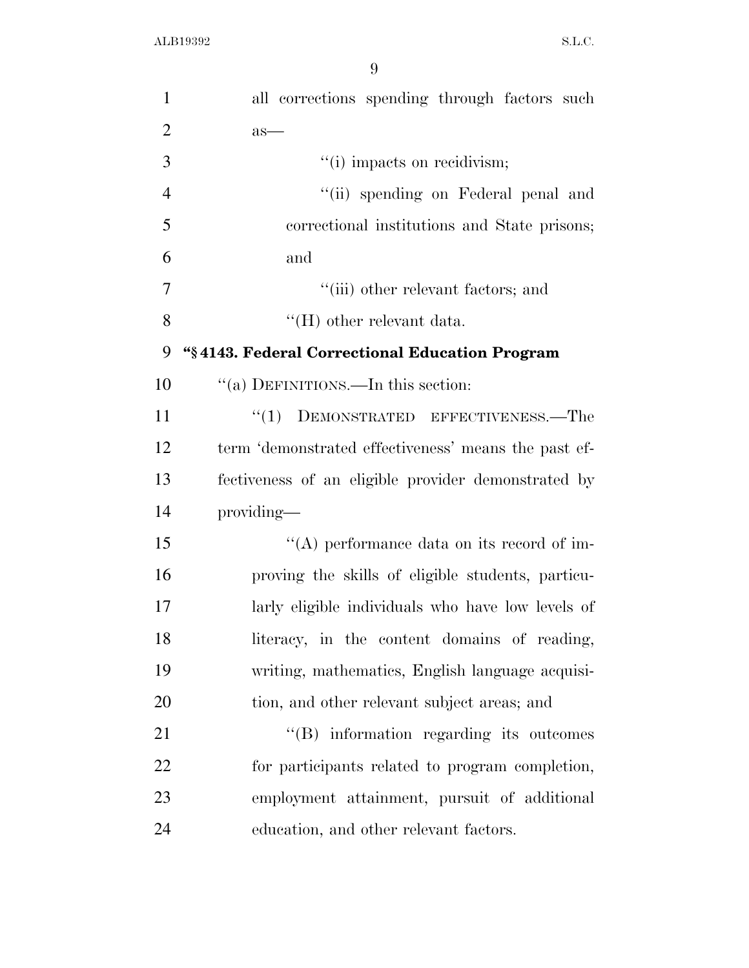| $\mathbf{1}$   | all corrections spending through factors such        |
|----------------|------------------------------------------------------|
| $\overline{2}$ | $as-$                                                |
| 3              | "(i) impacts on recidivism;                          |
| $\overline{4}$ | "(ii) spending on Federal penal and                  |
| 5              | correctional institutions and State prisons;         |
| 6              | and                                                  |
| 7              | "(iii) other relevant factors; and                   |
| 8              | $\lq\lq (H)$ other relevant data.                    |
| 9              | "§4143. Federal Correctional Education Program       |
| 10             | "(a) DEFINITIONS.—In this section:                   |
| 11             | "(1) DEMONSTRATED EFFECTIVENESS.—The                 |
| 12             | term 'demonstrated effectiveness' means the past ef- |
| 13             | fectiveness of an eligible provider demonstrated by  |
| 14             | providing—                                           |
| 15             | "(A) performance data on its record of im-           |
| 16             | proving the skills of eligible students, particu-    |
| 17             | larly eligible individuals who have low levels of    |
| 18             | literacy, in the content domains of reading,         |
| 19             | writing, mathematics, English language acquisi-      |
| 20             | tion, and other relevant subject areas; and          |
| 21             | "(B) information regarding its outcomes              |
| 22             | for participants related to program completion,      |
| 23             | employment attainment, pursuit of additional         |
| 24             | education, and other relevant factors.               |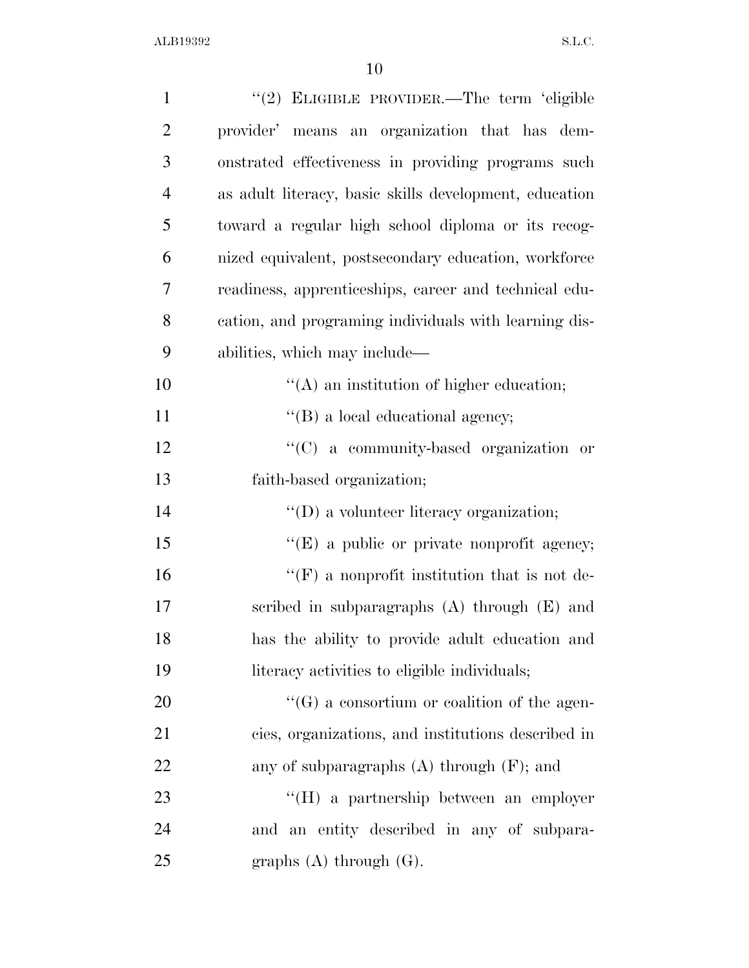| $\mathbf{1}$   | "(2) ELIGIBLE PROVIDER.—The term 'eligible             |
|----------------|--------------------------------------------------------|
| $\overline{2}$ | provider' means an organization that has dem-          |
| 3              | onstrated effectiveness in providing programs such     |
| $\overline{4}$ | as adult literacy, basic skills development, education |
| 5              | toward a regular high school diploma or its recog-     |
| 6              | nized equivalent, postsecondary education, workforce   |
| 7              | readiness, apprenticeships, career and technical edu-  |
| 8              | cation, and programing individuals with learning dis-  |
| 9              | abilities, which may include—                          |
| 10             | $\lq\lq$ an institution of higher education;           |
| 11             | $\lq\lq$ (B) a local educational agency;               |
| 12             | $``(C)$ a community-based organization or              |
| 13             | faith-based organization;                              |
| 14             | $\lq\lq$ ) a volunteer literacy organization;          |
| 15             | $\lq\lq(E)$ a public or private nonprofit agency;      |
| 16             | $\lq\lq(F)$ a nonprofit institution that is not de-    |
| 17             | scribed in subparagraphs $(A)$ through $(E)$ and       |
| 18             | has the ability to provide adult education and         |
| 19             | literacy activities to eligible individuals;           |
| 20             | $\lq\lq (G)$ a consortium or coalition of the agen-    |
| 21             | cies, organizations, and institutions described in     |
| 22             | any of subparagraphs $(A)$ through $(F)$ ; and         |
| 23             | "(H) a partnership between an employer                 |
| 24             | and an entity described in any of subpara-             |
| 25             | graphs $(A)$ through $(G)$ .                           |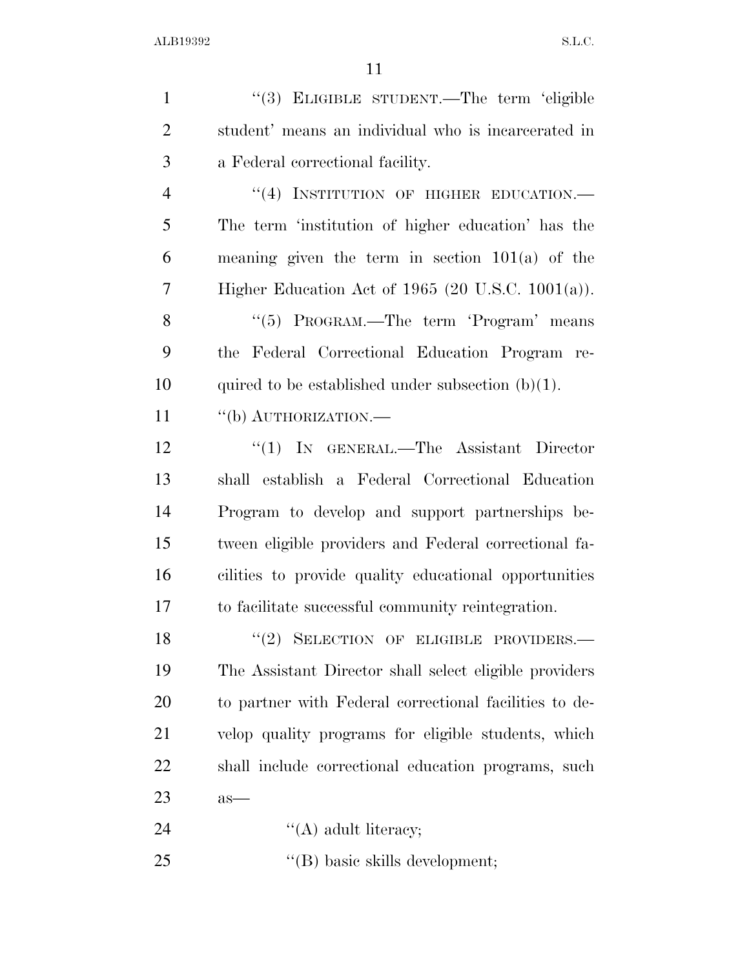| $\mathbf{1}$   | "(3) ELIGIBLE STUDENT.—The term 'eligible              |
|----------------|--------------------------------------------------------|
| $\overline{2}$ | student' means an individual who is incarcerated in    |
| 3              | a Federal correctional facility.                       |
| $\overline{4}$ | "(4) INSTITUTION OF HIGHER EDUCATION.-                 |
| 5              | The term 'institution of higher education' has the     |
| 6              | meaning given the term in section $101(a)$ of the      |
| 7              | Higher Education Act of 1965 (20 U.S.C. $1001(a)$ ).   |
| 8              | "(5) PROGRAM.—The term 'Program' means                 |
| 9              | the Federal Correctional Education Program re-         |
| 10             | quired to be established under subsection $(b)(1)$ .   |
| 11             | "(b) AUTHORIZATION.—                                   |
| 12             | "(1) IN GENERAL.—The Assistant Director                |
| 13             | shall establish a Federal Correctional Education       |
| 14             | Program to develop and support partnerships be-        |
| 15             | tween eligible providers and Federal correctional fa-  |
| 16             | cilities to provide quality educational opportunities  |
| 17             | to facilitate successful community reintegration.      |
| 18             | "(2) SELECTION OF ELIGIBLE PROVIDERS.-                 |
| 19             | The Assistant Director shall select eligible providers |
| 20             | to partner with Federal correctional facilities to de- |
| 21             | velop quality programs for eligible students, which    |
| 22             | shall include correctional education programs, such    |
| 23             | $as-$                                                  |
| 24             | $\lq\lq$ adult literacy;                               |
|                |                                                        |

25 ''(B) basic skills development;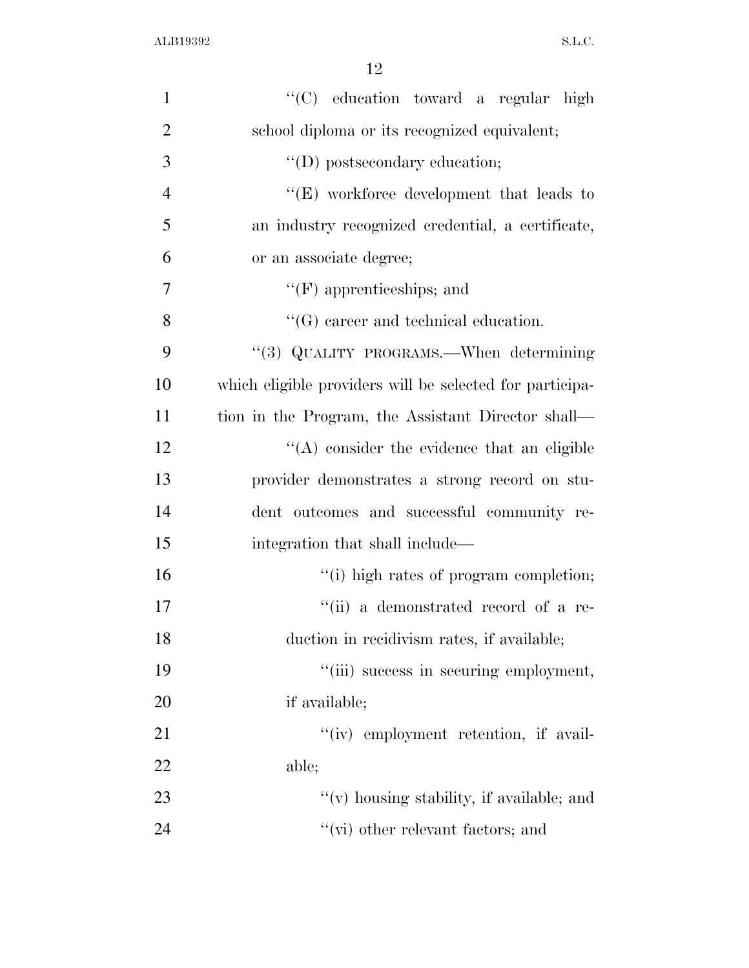| $\mathbf{1}$   | "(C) education toward a regular high                     |
|----------------|----------------------------------------------------------|
| $\overline{2}$ | school diploma or its recognized equivalent;             |
| 3              | $\lq\lq$ (D) postsecondary education;                    |
| $\overline{4}$ | "(E) workforce development that leads to                 |
| 5              | an industry recognized credential, a certificate,        |
| 6              | or an associate degree;                                  |
| $\overline{7}$ | $\lq\lq(F)$ apprenticeships; and                         |
| 8              | $\lq\lq(G)$ career and technical education.              |
| 9              | "(3) QUALITY PROGRAMS.—When determining                  |
| 10             | which eligible providers will be selected for participa- |
| 11             | tion in the Program, the Assistant Director shall—       |
| 12             | $\lq\lq$ consider the evidence that an eligible          |
| 13             | provider demonstrates a strong record on stu-            |
| 14             | dent outcomes and successful community re-               |
| 15             | integration that shall include—                          |
| 16             | "(i) high rates of program completion;                   |
| 17             | "(ii) a demonstrated record of a re-                     |
| 18             | duction in recidivism rates, if available;               |
| 19             | "(iii) success in securing employment,                   |
| 20             | if available;                                            |
| 21             | "(iv) employment retention, if avail-                    |
| 22             | able;                                                    |
| 23             | $f'(v)$ housing stability, if available; and             |
| 24             | $\lq\lq$ (vi) other relevant factors; and                |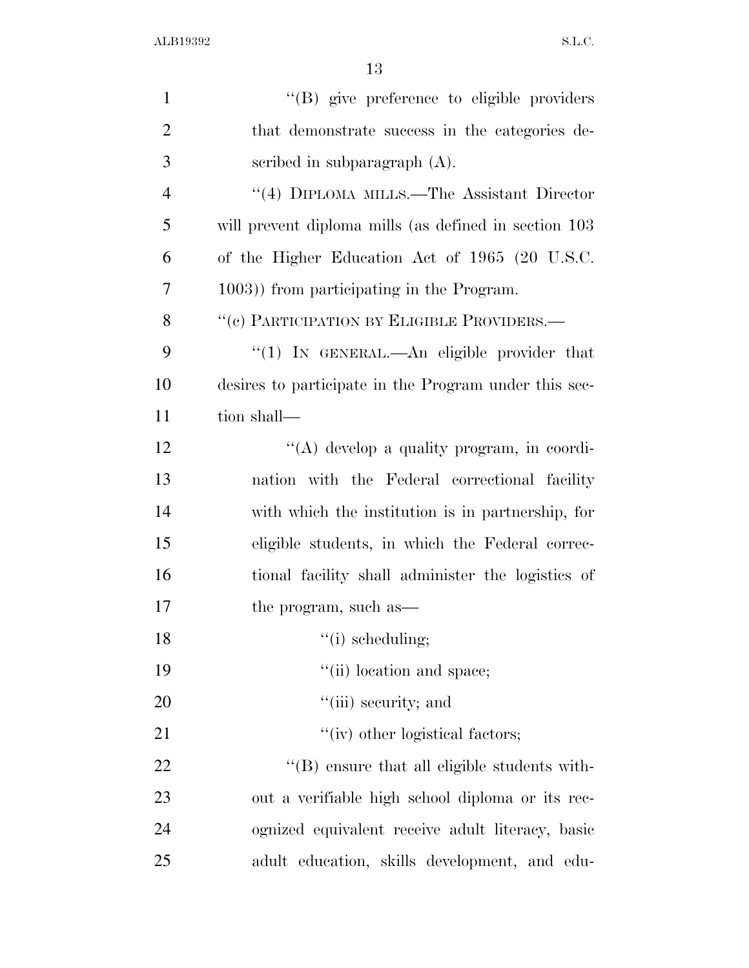| $\mathbf{1}$   | "(B) give preference to eligible providers            |
|----------------|-------------------------------------------------------|
| $\overline{2}$ | that demonstrate success in the categories de-        |
| 3              | scribed in subparagraph $(A)$ .                       |
| $\overline{4}$ | "(4) DIPLOMA MILLS.—The Assistant Director            |
| 5              | will prevent diploma mills (as defined in section 103 |
| 6              | of the Higher Education Act of 1965 (20 U.S.C.        |
| 7              | 1003) from participating in the Program.              |
| 8              | $``(c)$ PARTICIPATION BY ELIGIBLE PROVIDERS.—         |
| 9              | " $(1)$ In GENERAL.—An eligible provider that         |
| 10             | desires to participate in the Program under this sec- |
| 11             | tion shall-                                           |
| 12             | "(A) develop a quality program, in coordi-            |
| 13             | nation with the Federal correctional facility         |
| 14             | with which the institution is in partnership, for     |
| 15             | eligible students, in which the Federal correc-       |
| 16             | tional facility shall administer the logistics of     |
| 17             | the program, such as—                                 |
| 18             | $``(i)$ scheduling;                                   |
| 19             | "(ii) location and space;                             |
| 20             | "(iii) security; and                                  |
| 21             | "(iv) other logistical factors;                       |
| 22             | "(B) ensure that all eligible students with-          |
| 23             | out a verifiable high school diploma or its rec-      |
| 24             | ognized equivalent receive adult literacy, basic      |
| 25             | adult education, skills development, and edu-         |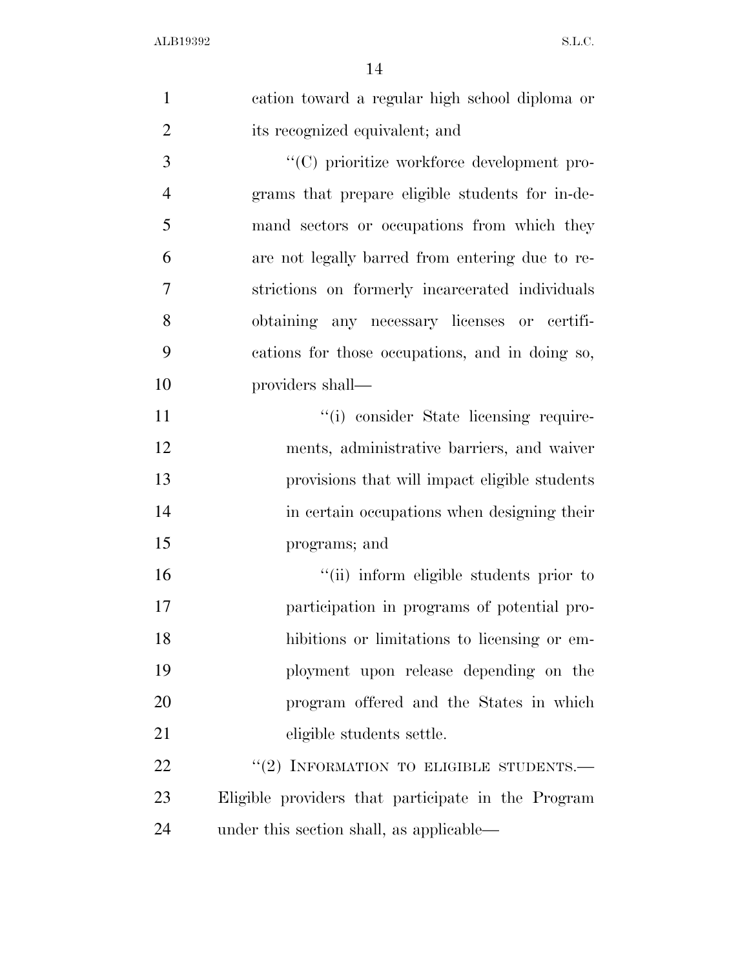| $\mathbf{1}$   | cation toward a regular high school diploma or     |
|----------------|----------------------------------------------------|
| $\overline{2}$ | its recognized equivalent; and                     |
| 3              | "(C) prioritize workforce development pro-         |
| $\overline{4}$ | grams that prepare eligible students for in-de-    |
| 5              | mand sectors or occupations from which they        |
| 6              | are not legally barred from entering due to re-    |
| 7              | strictions on formerly incarcerated individuals    |
| 8              | obtaining any necessary licenses or certifi-       |
| 9              | cations for those occupations, and in doing so,    |
| 10             | providers shall—                                   |
| 11             | "(i) consider State licensing require-             |
| 12             | ments, administrative barriers, and waiver         |
| 13             | provisions that will impact eligible students      |
| 14             | in certain occupations when designing their        |
| 15             | programs; and                                      |
| 16             | "(ii) inform eligible students prior to            |
| 17             | participation in programs of potential pro-        |
| 18             | hibitions or limitations to licensing or em-       |
| 19             | ployment upon release depending on the             |
| 20             | program offered and the States in which            |
| 21             | eligible students settle.                          |
| 22             | $``(2)$ INFORMATION TO ELIGIBLE STUDENTS.—         |
| 23             | Eligible providers that participate in the Program |
| 24             | under this section shall, as applicable—           |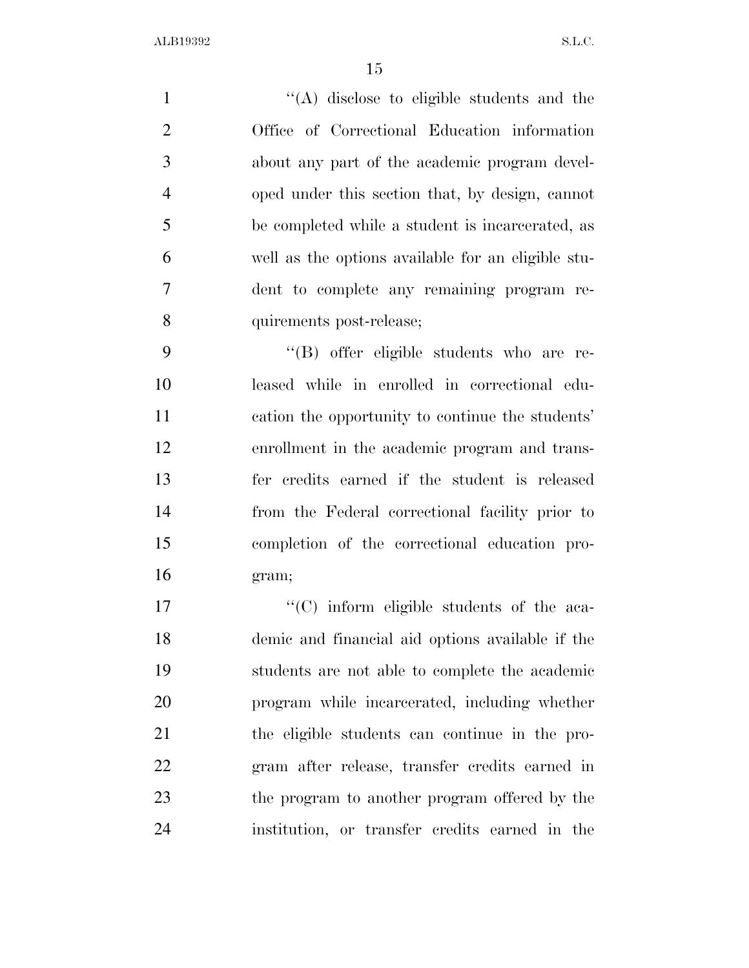1 ''(A) disclose to eligible students and the Office of Correctional Education information about any part of the academic program devel- oped under this section that, by design, cannot be completed while a student is incarcerated, as well as the options available for an eligible stu- dent to complete any remaining program re- quirements post-release; ''(B) offer eligible students who are re-

 leased while in enrolled in correctional edu- cation the opportunity to continue the students' enrollment in the academic program and trans- fer credits earned if the student is released from the Federal correctional facility prior to completion of the correctional education pro-gram;

 $\lq\lq$  (C) inform eligible students of the aca- demic and financial aid options available if the students are not able to complete the academic program while incarcerated, including whether the eligible students can continue in the pro- gram after release, transfer credits earned in 23 the program to another program offered by the institution, or transfer credits earned in the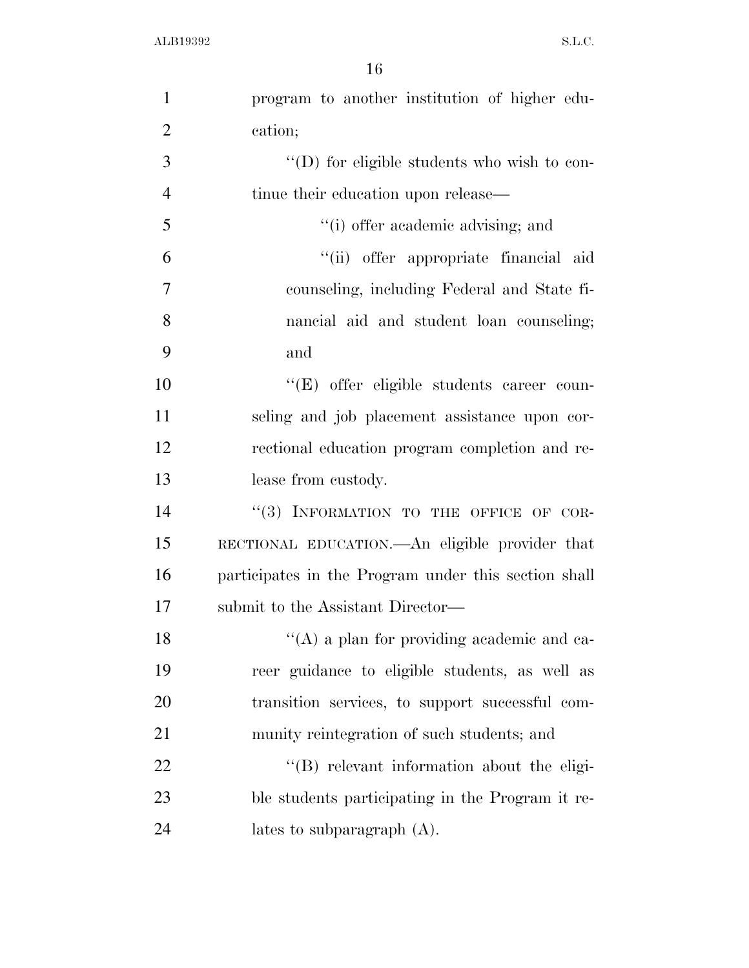| $\mathbf{1}$   | program to another institution of higher edu-        |
|----------------|------------------------------------------------------|
| $\overline{2}$ | cation;                                              |
| 3              | "(D) for eligible students who wish to con-          |
| $\overline{4}$ | tinue their education upon release—                  |
| 5              | "(i) offer academic advising; and                    |
| 6              | "(ii) offer appropriate financial aid                |
| 7              | counseling, including Federal and State fi-          |
| 8              | nancial aid and student loan counseling;             |
| 9              | and                                                  |
| 10             | "(E) offer eligible students career coun-            |
| 11             | seling and job placement assistance upon cor-        |
| 12             | rectional education program completion and re-       |
| 13             | lease from custody.                                  |
| 14             | "(3) INFORMATION TO THE OFFICE OF COR-               |
| 15             | RECTIONAL EDUCATION.—An eligible provider that       |
| 16             | participates in the Program under this section shall |
| 17             | submit to the Assistant Director—                    |
| 18             | "(A) a plan for providing academic and ca-           |
| 19             | reer guidance to eligible students, as well as       |
| 20             | transition services, to support successful com-      |
| 21             | munity reintegration of such students; and           |
| 22             | "(B) relevant information about the eligi-           |
| 23             | ble students participating in the Program it re-     |
| 24             | lates to subparagraph $(A)$ .                        |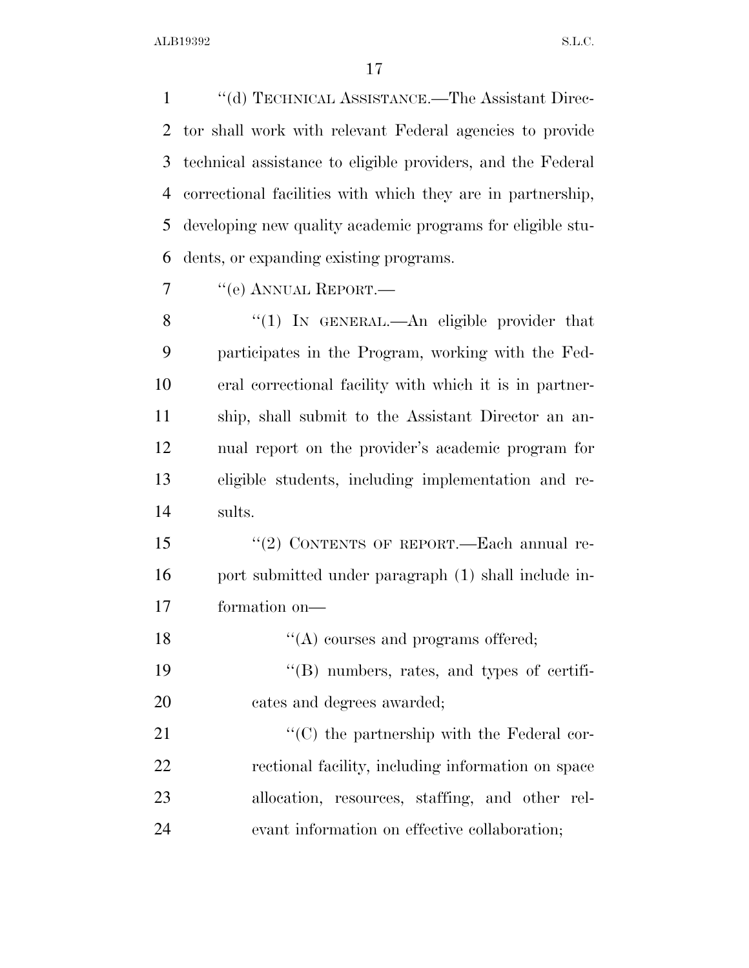''(d) TECHNICAL ASSISTANCE.—The Assistant Direc- tor shall work with relevant Federal agencies to provide technical assistance to eligible providers, and the Federal correctional facilities with which they are in partnership, developing new quality academic programs for eligible stu-dents, or expanding existing programs.

7 "(e) ANNUAL REPORT.—

8 "(1) IN GENERAL.—An eligible provider that participates in the Program, working with the Fed- eral correctional facility with which it is in partner- ship, shall submit to the Assistant Director an an- nual report on the provider's academic program for eligible students, including implementation and re-sults.

15 "(2) CONTENTS OF REPORT.—Each annual re- port submitted under paragraph (1) shall include in-formation on—

18  $\cdot$  (A) courses and programs offered;

 ''(B) numbers, rates, and types of certifi-cates and degrees awarded;

21 ''(C) the partnership with the Federal cor- rectional facility, including information on space allocation, resources, staffing, and other rel-evant information on effective collaboration;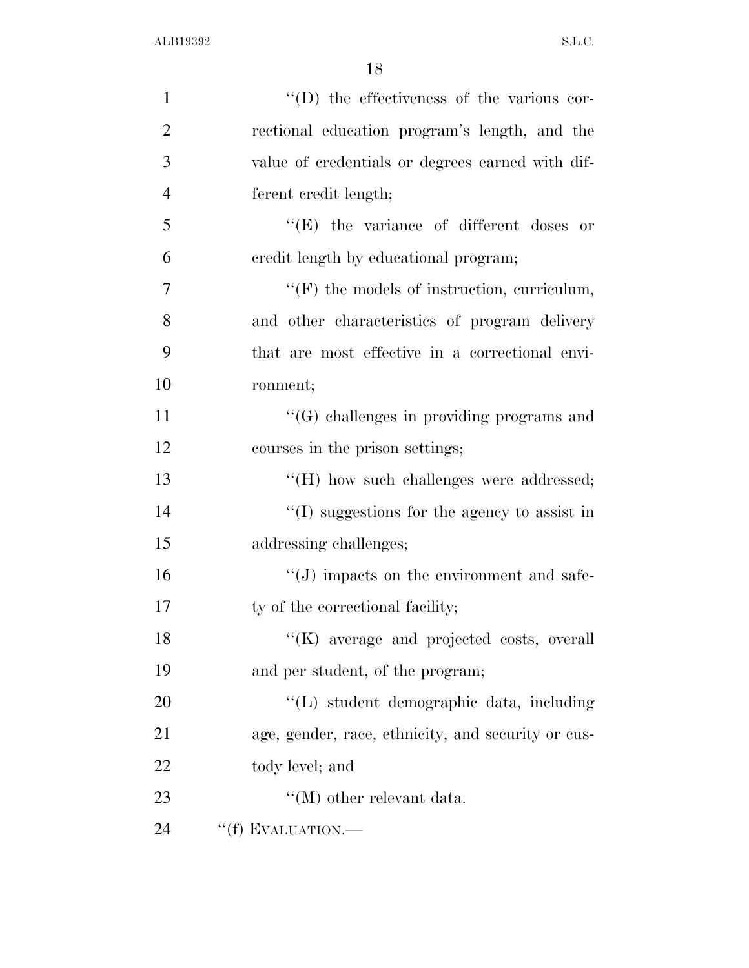| $\mathbf{1}$   | "(D) the effectiveness of the various cor-         |
|----------------|----------------------------------------------------|
| $\overline{2}$ | rectional education program's length, and the      |
| 3              | value of credentials or degrees earned with dif-   |
| $\overline{4}$ | ferent credit length;                              |
| 5              | $\lq\lq$ the variance of different doses or        |
| 6              | credit length by educational program;              |
| $\overline{7}$ | "(F) the models of instruction, curriculum,        |
| 8              | and other characteristics of program delivery      |
| 9              | that are most effective in a correctional envi-    |
| 10             | ronment;                                           |
| 11             | "(G) challenges in providing programs and          |
| 12             | courses in the prison settings;                    |
| 13             | "(H) how such challenges were addressed;           |
| 14             | "(I) suggestions for the agency to assist in       |
| 15             | addressing challenges;                             |
| 16             | $\lq\lq(J)$ impacts on the environment and safe-   |
| 17             | ty of the correctional facility;                   |
| 18             | "(K) average and projected costs, overall          |
| 19             | and per student, of the program;                   |
| 20             | "(L) student demographic data, including           |
| 21             | age, gender, race, ethnicity, and security or cus- |
| 22             | tody level; and                                    |
| 23             | "(M) other relevant data.                          |
| 24             | "(f) EVALUATION.—                                  |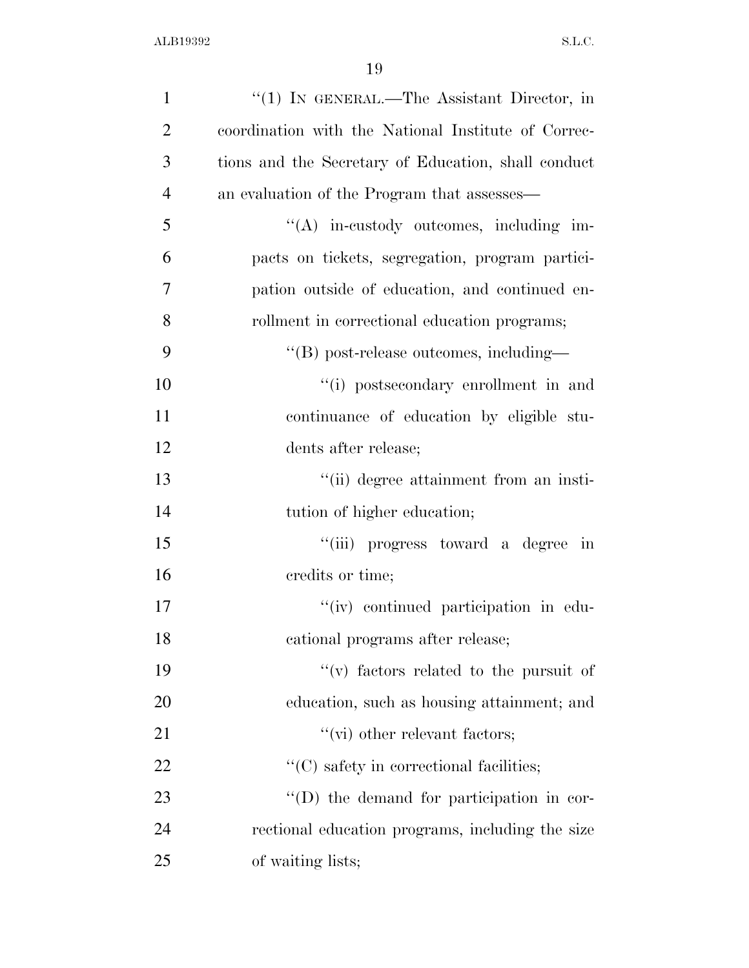| $\mathbf{1}$   | "(1) IN GENERAL.—The Assistant Director, in         |
|----------------|-----------------------------------------------------|
| $\overline{2}$ | coordination with the National Institute of Correc- |
| 3              | tions and the Secretary of Education, shall conduct |
| $\overline{4}$ | an evaluation of the Program that assesses—         |
| 5              | $\lq\lq$ in-custody outcomes, including im-         |
| 6              | pacts on tickets, segregation, program partici-     |
| 7              | pation outside of education, and continued en-      |
| 8              | rollment in correctional education programs;        |
| 9              | "(B) post-release outcomes, including-              |
| 10             | "(i) postsecondary enrollment in and                |
| 11             | continuance of education by eligible stu-           |
| 12             | dents after release;                                |
| 13             | "(ii) degree attainment from an insti-              |
| 14             | tution of higher education;                         |
| 15             | "(iii) progress toward a degree in                  |
| 16             | credits or time;                                    |
| 17             | "(iv) continued participation in edu-               |
| 18             | cational programs after release;                    |
| 19             | "(v) factors related to the pursuit of              |
| 20             | education, such as housing attainment; and          |
| 21             | $\lq\lq$ (vi) other relevant factors;               |
| 22             | $\lq\lq$ (C) safety in correctional facilities;     |
| 23             | "(D) the demand for participation in cor-           |
| 24             | rectional education programs, including the size    |
| 25             | of waiting lists;                                   |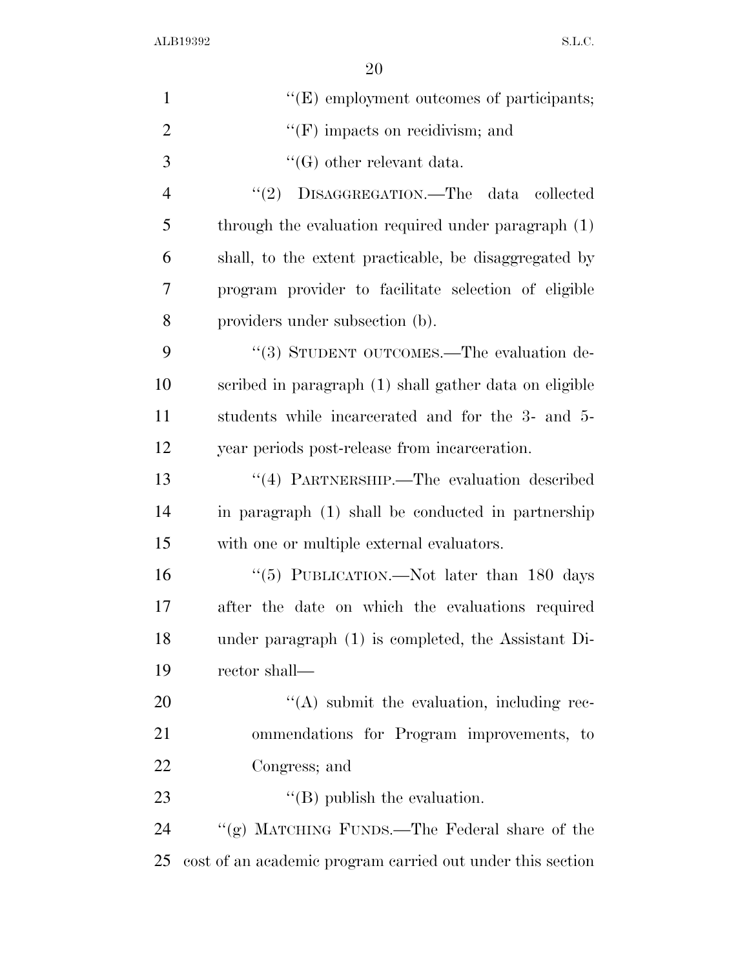| $\mathbf{1}$   | "(E) employment outcomes of participants;                  |
|----------------|------------------------------------------------------------|
| $\overline{2}$ | $\lq\lq(F)$ impacts on recidivism; and                     |
| 3              | $\lq\lq(G)$ other relevant data.                           |
| $\overline{4}$ | DISAGGREGATION.—The data collected<br>(2)                  |
| 5              | through the evaluation required under paragraph (1)        |
| 6              | shall, to the extent practicable, be disaggregated by      |
| 7              | program provider to facilitate selection of eligible       |
| 8              | providers under subsection (b).                            |
| 9              | "(3) STUDENT OUTCOMES.—The evaluation de-                  |
| 10             | scribed in paragraph (1) shall gather data on eligible     |
| 11             | students while incarcerated and for the 3- and 5-          |
| 12             | year periods post-release from incarceration.              |
| 13             | "(4) PARTNERSHIP.—The evaluation described                 |
| 14             | in paragraph (1) shall be conducted in partnership         |
| 15             | with one or multiple external evaluators.                  |
| 16             | "(5) PUBLICATION.—Not later than $180 \text{ days}$        |
| 17             | after the date on which the evaluations required           |
| 18             | under paragraph (1) is completed, the Assistant Di-        |
| 19             | rector shall—                                              |
| 20             | $\lq\lq$ submit the evaluation, including rec-             |
| 21             | ommendations for Program improvements, to                  |
| 22             | Congress; and                                              |
| 23             | $\lq\lq$ (B) publish the evaluation.                       |
| 24             | "(g) MATCHING FUNDS.—The Federal share of the              |
| 25             | cost of an academic program carried out under this section |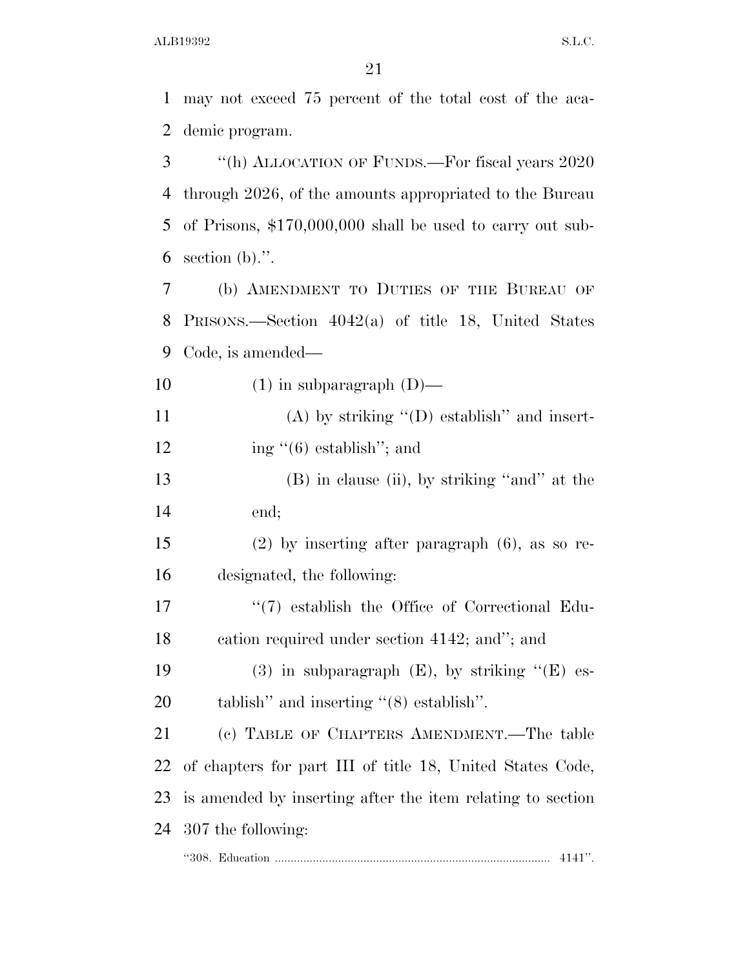may not exceed 75 percent of the total cost of the aca-

 demic program. ''(h) ALLOCATION OF FUNDS.—For fiscal years 2020 through 2026, of the amounts appropriated to the Bureau of Prisons, \$170,000,000 shall be used to carry out sub-6 section (b).". (b) AMENDMENT TO DUTIES OF THE BUREAU OF PRISONS.—Section 4042(a) of title 18, United States Code, is amended—  $(1)$  in subparagraph  $(D)$ —  $(A)$  by striking " $(D)$  establish" and insert-12 ing  $\lq\lq(6)$  establish"; and (B) in clause (ii), by striking ''and'' at the end; (2) by inserting after paragraph (6), as so re- designated, the following:  $\frac{17}{2}$  establish the Office of Correctional Edu- cation required under section 4142; and''; and 19 (3) in subparagraph  $(E)$ , by striking " $(E)$  es- tablish'' and inserting ''(8) establish''. (c) TABLE OF CHAPTERS AMENDMENT.—The table of chapters for part III of title 18, United States Code, is amended by inserting after the item relating to section 307 the following: ''308. Education ....................................................................................... 4141''.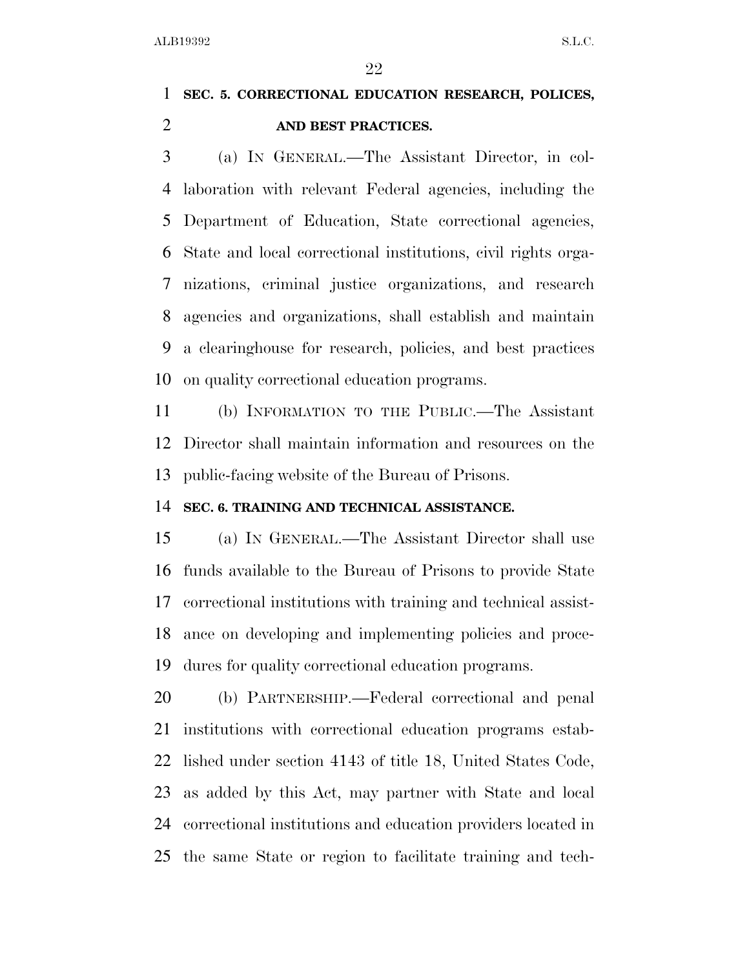## **SEC. 5. CORRECTIONAL EDUCATION RESEARCH, POLICES, AND BEST PRACTICES.**

 (a) IN GENERAL.—The Assistant Director, in col- laboration with relevant Federal agencies, including the Department of Education, State correctional agencies, State and local correctional institutions, civil rights orga- nizations, criminal justice organizations, and research agencies and organizations, shall establish and maintain a clearinghouse for research, policies, and best practices on quality correctional education programs.

 (b) INFORMATION TO THE PUBLIC.—The Assistant Director shall maintain information and resources on the public-facing website of the Bureau of Prisons.

### **SEC. 6. TRAINING AND TECHNICAL ASSISTANCE.**

 (a) IN GENERAL.—The Assistant Director shall use funds available to the Bureau of Prisons to provide State correctional institutions with training and technical assist- ance on developing and implementing policies and proce-dures for quality correctional education programs.

 (b) PARTNERSHIP.—Federal correctional and penal institutions with correctional education programs estab- lished under section 4143 of title 18, United States Code, as added by this Act, may partner with State and local correctional institutions and education providers located in the same State or region to facilitate training and tech-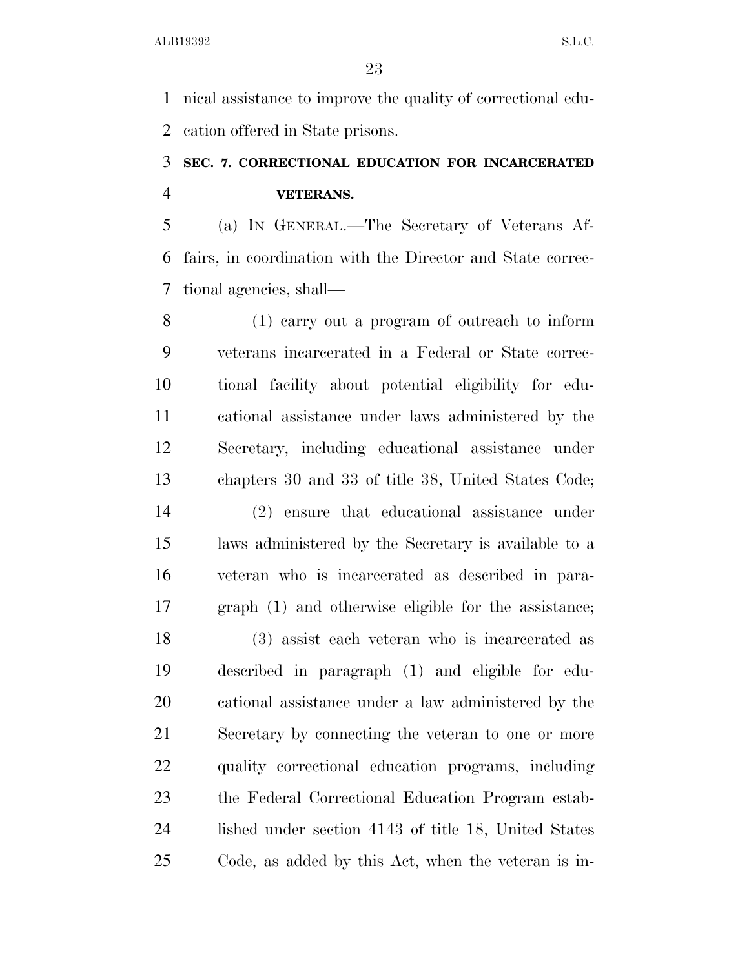nical assistance to improve the quality of correctional edu-cation offered in State prisons.

# **SEC. 7. CORRECTIONAL EDUCATION FOR INCARCERATED VETERANS.**

 (a) IN GENERAL.—The Secretary of Veterans Af- fairs, in coordination with the Director and State correc-tional agencies, shall—

 (1) carry out a program of outreach to inform veterans incarcerated in a Federal or State correc- tional facility about potential eligibility for edu- cational assistance under laws administered by the Secretary, including educational assistance under chapters 30 and 33 of title 38, United States Code;

 (2) ensure that educational assistance under laws administered by the Secretary is available to a veteran who is incarcerated as described in para-graph (1) and otherwise eligible for the assistance;

 (3) assist each veteran who is incarcerated as described in paragraph (1) and eligible for edu- cational assistance under a law administered by the Secretary by connecting the veteran to one or more quality correctional education programs, including the Federal Correctional Education Program estab- lished under section 4143 of title 18, United States Code, as added by this Act, when the veteran is in-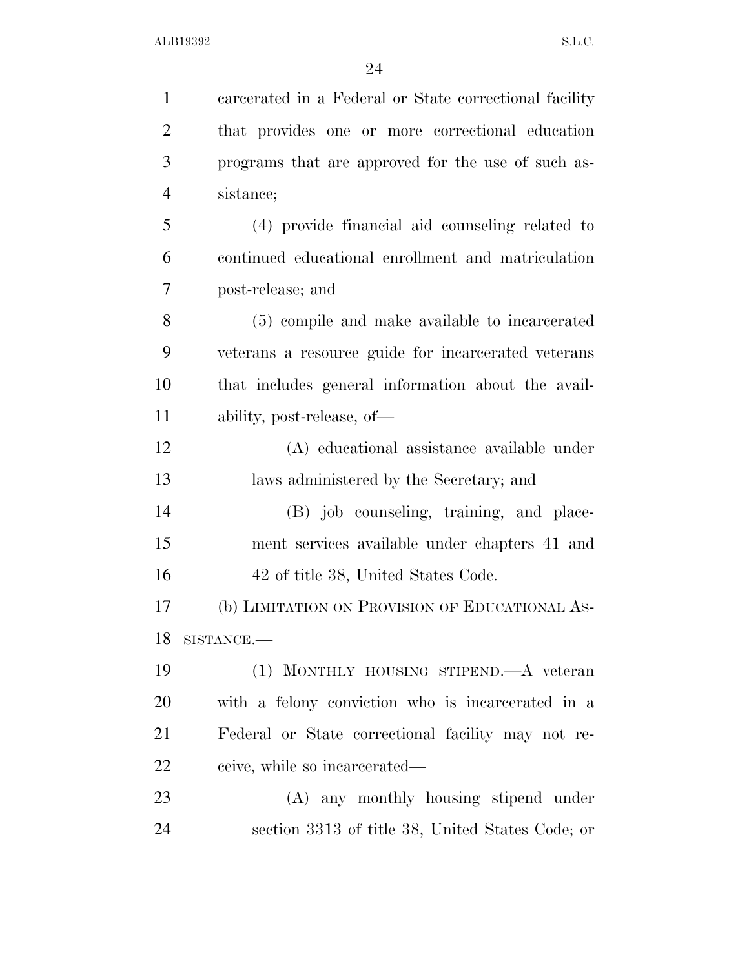| $\mathbf{1}$   | carcerated in a Federal or State correctional facility |
|----------------|--------------------------------------------------------|
| $\overline{2}$ | that provides one or more correctional education       |
| 3              | programs that are approved for the use of such as-     |
| $\overline{4}$ | sistance;                                              |
| 5              | (4) provide financial aid counseling related to        |
| 6              | continued educational enrollment and matriculation     |
| 7              | post-release; and                                      |
| 8              | (5) compile and make available to incarcerated         |
| 9              | veterans a resource guide for incarcerated veterans    |
| 10             | that includes general information about the avail-     |
| 11             | ability, post-release, of-                             |
| 12             | (A) educational assistance available under             |
| 13             | laws administered by the Secretary; and                |
| 14             | (B) job counseling, training, and place-               |
| 15             | ment services available under chapters 41 and          |
| 16             | 42 of title 38, United States Code.                    |
| 17             | (b) LIMITATION ON PROVISION OF EDUCATIONAL AS-         |
| 18             | SISTANCE.                                              |
| 19             | (1) MONTHLY HOUSING STIPEND.—A veteran                 |
| 20             | with a felony conviction who is incarcerated in a      |
| 21             | Federal or State correctional facility may not re-     |
| 22             | ceive, while so incarcerated—                          |
| 23             | (A) any monthly housing stipend under                  |
| 24             | section 3313 of title 38, United States Code; or       |